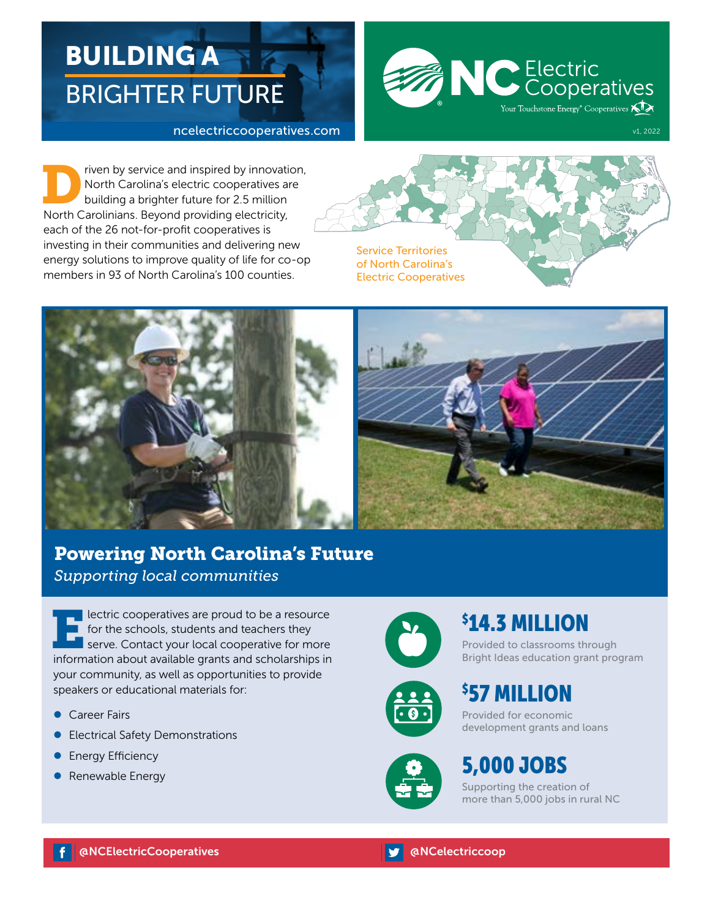# BUILDING A BRIGHTER FUTURE

#### ncelectriccooperatives.com



The priven by service and inspired by innovation,<br>
North Carolina's electric cooperatives are<br>
building a brighter future for 2.5 million<br>
North Carolinians Boyand providing electricity North Carolina's electric cooperatives are building a brighter future for 2.5 million North Carolinians. Beyond providing electricity, each of the 26 not-for-profit cooperatives is investing in their communities and delivering new energy solutions to improve quality of life for co-op members in 93 of North Carolina's 100 counties.







## Powering North Carolina's Future *Supporting local communities*

**Electric cooperatives are proud to be a resource f** for the schools, students and teachers they serve. Contact your local cooperative for more information about available grants and scholarships in your community, as well as opportunities to provide speakers or educational materials for:

- **Career Fairs**
- **•** Electrical Safety Demonstrations
- **•** Energy Efficiency
- **•** Renewable Energy







## \$ 14.3 MILLION

Provided to classrooms through Bright Ideas education grant program

\$ 57 MILLION

Provided for economic development grants and loans

## 5,000 JOBS

Supporting the creation of more than 5,000 jobs in rural NC